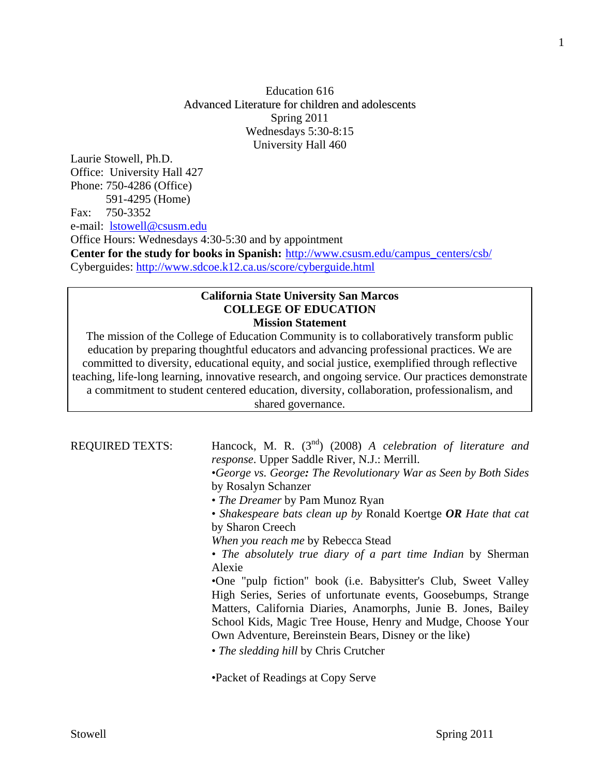## Education 616 Advanced Literature for children and adolescents Spring 2011 Wednesdays 5:30-8:15 University Hall 460

Laurie Stowell, Ph.D. Office: University Hall 427 Phone: 750-4286 (Office) 591-4295 (Home) Fax: 750-3352 e-mail: lstowell@csusm.edu Office Hours: Wednesdays 4:30-5:30 and by appointment **Center for the study for books in Spanish:** http://www.csusm.edu/campus\_centers/csb/ Cyberguides: http://www.sdcoe.k12.ca.us/score/cyberguide.html

#### **California State University San Marcos COLLEGE OF EDUCATION Mission Statement**

The mission of the College of Education Community is to collaboratively transform public education by preparing thoughtful educators and advancing professional practices. We are committed to diversity, educational equity, and social justice, exemplified through reflective teaching, life-long learning, innovative research, and ongoing service. Our practices demonstrate a commitment to student centered education, diversity, collaboration, professionalism, and shared governance.

| <b>REQUIRED TEXTS:</b> | Hancock, M. R. $(3nd)$ (2008) A celebration of literature and<br>response. Upper Saddle River, N.J.: Merrill.<br>•George vs. George: The Revolutionary War as Seen by Both Sides<br>by Rosalyn Schanzer<br>• The Dreamer by Pam Munoz Ryan<br>• Shakespeare bats clean up by Ronald Koertge $OR$ Hate that cat<br>by Sharon Creech<br>When you reach me by Rebecca Stead<br>• The absolutely true diary of a part time Indian by Sherman<br>Alexie<br>•One "pulp fiction" book (i.e. Babysitter's Club, Sweet Valley<br>High Series, Series of unfortunate events, Goosebumps, Strange<br>Matters, California Diaries, Anamorphs, Junie B. Jones, Bailey<br>School Kids, Magic Tree House, Henry and Mudge, Choose Your<br>Own Adventure, Bereinstein Bears, Disney or the like) |
|------------------------|----------------------------------------------------------------------------------------------------------------------------------------------------------------------------------------------------------------------------------------------------------------------------------------------------------------------------------------------------------------------------------------------------------------------------------------------------------------------------------------------------------------------------------------------------------------------------------------------------------------------------------------------------------------------------------------------------------------------------------------------------------------------------------|
|                        | • The sledding hill by Chris Crutcher<br>•Packet of Readings at Copy Serve                                                                                                                                                                                                                                                                                                                                                                                                                                                                                                                                                                                                                                                                                                       |
|                        |                                                                                                                                                                                                                                                                                                                                                                                                                                                                                                                                                                                                                                                                                                                                                                                  |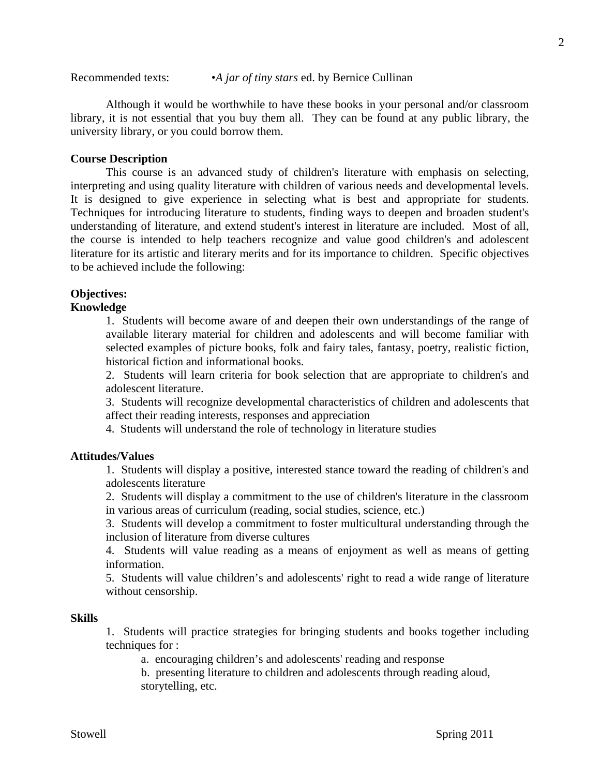Recommended texts: •*A jar of tiny stars* ed. by Bernice Cullinan

Although it would be worthwhile to have these books in your personal and/or classroom library, it is not essential that you buy them all. They can be found at any public library, the university library, or you could borrow them.

## **Course Description**

 It is designed to give experience in selecting what is best and appropriate for students. Techniques for introducing literature to students, finding ways to deepen and broaden student's This course is an advanced study of children's literature with emphasis on selecting, interpreting and using quality literature with children of various needs and developmental levels. understanding of literature, and extend student's interest in literature are included. Most of all, the course is intended to help teachers recognize and value good children's and adolescent literature for its artistic and literary merits and for its importance to children. Specific objectives to be achieved include the following:

# **Objectives:**

### **Knowledge**

1. Students will become aware of and deepen their own understandings of the range of available literary material for children and adolescents and will become familiar with selected examples of picture books, folk and fairy tales, fantasy, poetry, realistic fiction, historical fiction and informational books.

2. Students will learn criteria for book selection that are appropriate to children's and adolescent literature.

3. Students will recognize developmental characteristics of children and adolescents that affect their reading interests, responses and appreciation

4. Students will understand the role of technology in literature studies

### **Attitudes/Values**

1. Students will display a positive, interested stance toward the reading of children's and adolescents literature

2. Students will display a commitment to the use of children's literature in the classroom in various areas of curriculum (reading, social studies, science, etc.)

3. Students will develop a commitment to foster multicultural understanding through the inclusion of literature from diverse cultures

4. Students will value reading as a means of enjoyment as well as means of getting information.

5. Students will value children's and adolescents' right to read a wide range of literature without censorship.

### **Skills**

1. Students will practice strategies for bringing students and books together including techniques for :

a. encouraging children's and adolescents' reading and response

b. presenting literature to children and adolescents through reading aloud, storytelling, etc.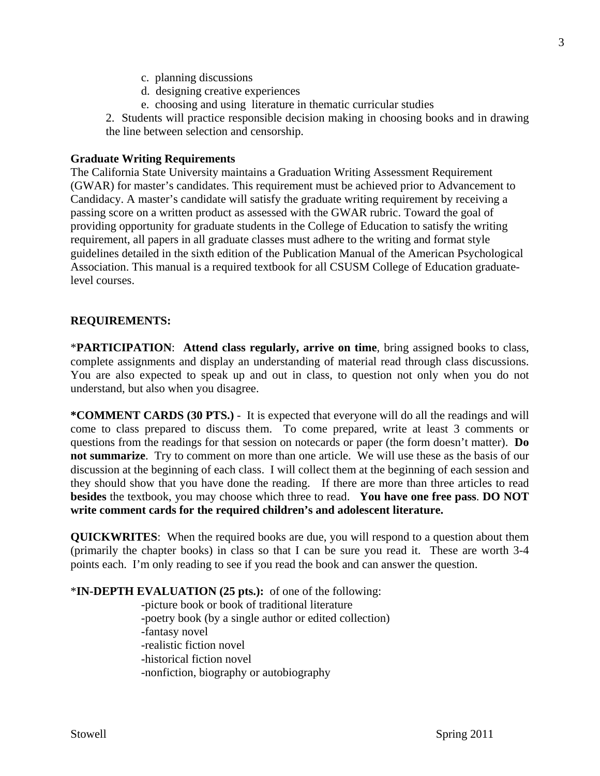- c. planning discussions
- d. designing creative experiences
- e. choosing and using literature in thematic curricular studies

2. Students will practice responsible decision making in choosing books and in drawing the line between selection and censorship.

### **Graduate Writing Requirements**

The California State University maintains a Graduation Writing Assessment Requirement (GWAR) for master's candidates. This requirement must be achieved prior to Advancement to Candidacy. A master's candidate will satisfy the graduate writing requirement by receiving a passing score on a written product as assessed with the GWAR rubric. Toward the goal of providing opportunity for graduate students in the College of Education to satisfy the writing requirement, all papers in all graduate classes must adhere to the writing and format style guidelines detailed in the sixth edition of the Publication Manual of the American Psychological Association. This manual is a required textbook for all CSUSM College of Education graduatelevel courses.

### **REQUIREMENTS:**

\***PARTICIPATION**: **Attend class regularly, arrive on time**, bring assigned books to class, complete assignments and display an understanding of material read through class discussions. You are also expected to speak up and out in class, to question not only when you do not understand, but also when you disagree.

**\*COMMENT CARDS (30 PTS.)** - It is expected that everyone will do all the readings and will come to class prepared to discuss them. To come prepared, write at least 3 comments or questions from the readings for that session on notecards or paper (the form doesn't matter). **Do not summarize**. Try to comment on more than one article. We will use these as the basis of our discussion at the beginning of each class. I will collect them at the beginning of each session and they should show that you have done the reading. If there are more than three articles to read **besides** the textbook, you may choose which three to read. **You have one free pass**. **DO NOT write comment cards for the required children's and adolescent literature.** 

**QUICKWRITES**: When the required books are due, you will respond to a question about them (primarily the chapter books) in class so that I can be sure you read it. These are worth 3-4 points each. I'm only reading to see if you read the book and can answer the question.

\***IN-DEPTH EVALUATION (25 pts.):** of one of the following:

- -picture book or book of traditional literature
- -poetry book (by a single author or edited collection)

-fantasy novel

- -realistic fiction novel
- -historical fiction novel
- -nonfiction, biography or autobiography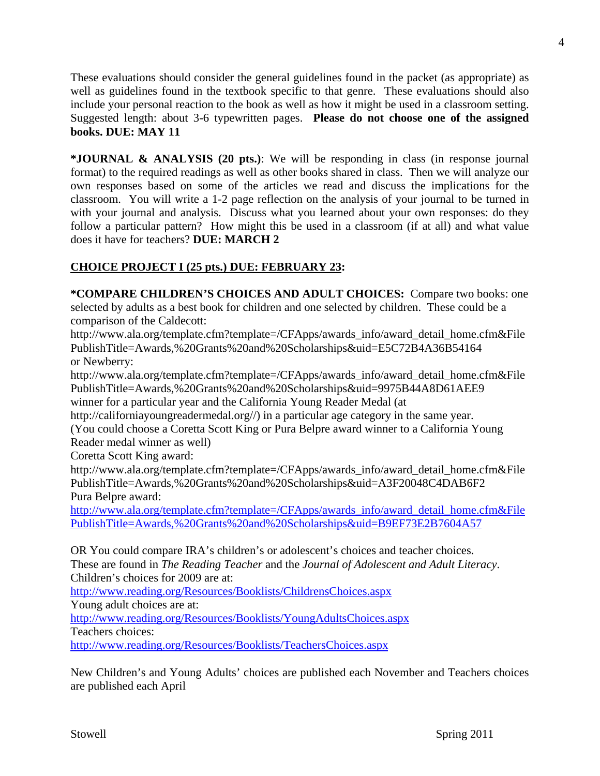include your personal reaction to the book as well as how it might be used in a classroom setting. These evaluations should consider the general guidelines found in the packet (as appropriate) as well as guidelines found in the textbook specific to that genre. These evaluations should also Suggested length: about 3-6 typewritten pages. Please do not choose one of the assigned **books. DUE: MAY 11** 

**\*JOURNAL & ANALYSIS (20 pts.)**: We will be responding in class (in response journal format) to the required readings as well as other books shared in class. Then we will analyze our own responses based on some of the articles we read and discuss the implications for the classroom. You will write a 1-2 page reflection on the analysis of your journal to be turned in with your journal and analysis. Discuss what you learned about your own responses: do they follow a particular pattern? How might this be used in a classroom (if at all) and what value does it have for teachers? **DUE: MARCH 2** 

# **CHOICE PROJECT I (25 pts.) DUE: FEBRUARY 23:**

**\*COMPARE CHILDREN'S CHOICES AND ADULT CHOICES:** Compare two books: one selected by adults as a best book for children and one selected by children. These could be a comparison of the Caldecott:

http://www.ala.org/template.cfm?template=/CFApps/awards\_info/award\_detail\_home.cfm&File PublishTitle=Awards,%20Grants%20and%20Scholarships&uid=E5C72B4A36B54164 or Newberry:

http://www.ala.org/template.cfm?template=/CFApps/awards\_info/award\_detail\_home.cfm&File PublishTitle=Awards,%20Grants%20and%20Scholarships&uid=9975B44A8D61AEE9 winner for a particular year and the California Young Reader Medal (at

http://californiayoungreadermedal.org//) in a particular age category in the same year. (You could choose a Coretta Scott King or Pura Belpre award winner to a California Young Reader medal winner as well)

Coretta Scott King award:

http://www.ala.org/template.cfm?template=/CFApps/awards\_info/award\_detail\_home.cfm&File PublishTitle=Awards,%20Grants%20and%20Scholarships&uid=A3F20048C4DAB6F2 Pura Belpre award:

http://www.ala.org/template.cfm?template=/CFApps/awards\_info/award\_detail\_home.cfm&File PublishTitle=Awards,%20Grants%20and%20Scholarships&uid=B9EF73E2B7604A57

OR You could compare IRA's children's or adolescent's choices and teacher choices. These are found in *The Reading Teacher* and the *Journal of Adolescent and Adult Literacy*. Children's choices for 2009 are at:

http://www.reading.org/Resources/Booklists/ChildrensChoices.aspx

Young adult choices are at:

http://www.reading.org/Resources/Booklists/YoungAdultsChoices.aspx Teachers choices:

http://www.reading.org/Resources/Booklists/TeachersChoices.aspx

New Children's and Young Adults' choices are published each November and Teachers choices are published each April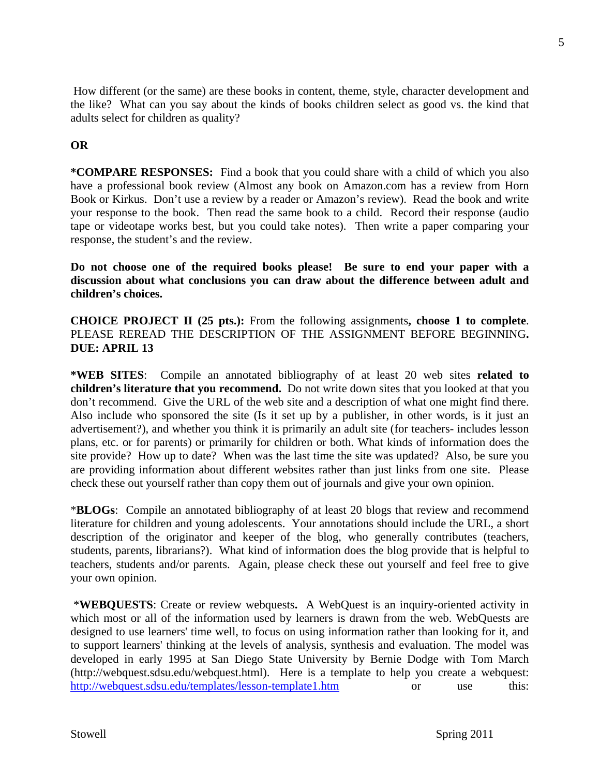How different (or the same) are these books in content, theme, style, character development and the like? What can you say about the kinds of books children select as good vs. the kind that adults select for children as quality?

## **OR**

 Book or Kirkus. Don't use a review by a reader or Amazon's review). Read the book and write **\*COMPARE RESPONSES:** Find a book that you could share with a child of which you also have a professional book review (Almost any book on Amazon.com has a review from Horn your response to the book. Then read the same book to a child. Record their response (audio tape or videotape works best, but you could take notes). Then write a paper comparing your response, the student's and the review.

**Do not choose one of the required books please! Be sure to end your paper with a discussion about what conclusions you can draw about the difference between adult and children's choices.** 

**CHOICE PROJECT II (25 pts.):** From the following assignments**, choose 1 to complete**. PLEASE REREAD THE DESCRIPTION OF THE ASSIGNMENT BEFORE BEGINNING**. DUE: APRIL 13** 

**\*WEB SITES**: Compile an annotated bibliography of at least 20 web sites **related to children's literature that you recommend.** Do not write down sites that you looked at that you don't recommend. Give the URL of the web site and a description of what one might find there. Also include who sponsored the site (Is it set up by a publisher, in other words, is it just an advertisement?), and whether you think it is primarily an adult site (for teachers- includes lesson plans, etc. or for parents) or primarily for children or both. What kinds of information does the site provide? How up to date? When was the last time the site was updated? Also, be sure you are providing information about different websites rather than just links from one site. Please check these out yourself rather than copy them out of journals and give your own opinion.

\***BLOGs**: Compile an annotated bibliography of at least 20 blogs that review and recommend literature for children and young adolescents. Your annotations should include the URL, a short description of the originator and keeper of the blog, who generally contributes (teachers, students, parents, librarians?). What kind of information does the blog provide that is helpful to teachers, students and/or parents. Again, please check these out yourself and feel free to give your own opinion.

developed in early 1995 at San Diego State University by Bernie Dodge with Tom March \***WEBQUESTS**: Create or review webquests**.** A WebQuest is an inquiry-oriented activity in which most or all of the information used by learners is drawn from the web. WebQuests are designed to use learners' time well, to focus on using information rather than looking for it, and to support learners' thinking at the levels of analysis, synthesis and evaluation. The model was (http://webquest.sdsu.edu/webquest.html). Here is a template to help you create a webquest: http://webquest.sdsu.edu/templates/lesson-template1.htm or use this: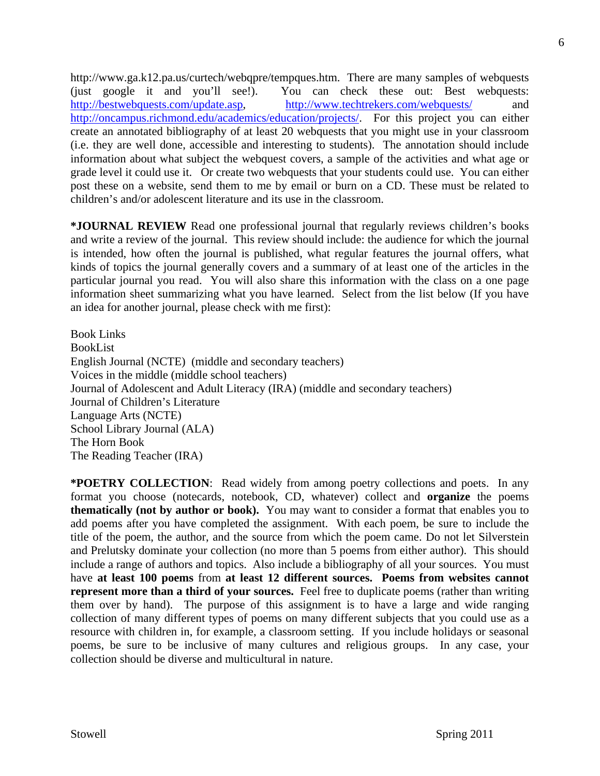http://www.ga.k12.pa.us/curtech/webqpre/tempques.htm. There are many samples of webquests (just google it and you'll see!). You can check these out: Best webquests: http://bestwebquests.com/update.asp, http://www.techtrekers.com/webquests/ and http://oncampus.richmond.edu/academics/education/projects/. For this project you can either create an annotated bibliography of at least 20 webquests that you might use in your classroom (i.e. they are well done, accessible and interesting to students). The annotation should include information about what subject the webquest covers, a sample of the activities and what age or grade level it could use it. Or create two webquests that your students could use. You can either post these on a website, send them to me by email or burn on a CD. These must be related to children's and/or adolescent literature and its use in the classroom.

**\*JOURNAL REVIEW** Read one professional journal that regularly reviews children's books and write a review of the journal. This review should include: the audience for which the journal is intended, how often the journal is published, what regular features the journal offers, what kinds of topics the journal generally covers and a summary of at least one of the articles in the particular journal you read. You will also share this information with the class on a one page information sheet summarizing what you have learned. Select from the list below (If you have an idea for another journal, please check with me first):

Book Links BookList English Journal (NCTE) (middle and secondary teachers) Voices in the middle (middle school teachers) Journal of Adolescent and Adult Literacy (IRA) (middle and secondary teachers) Journal of Children's Literature Language Arts (NCTE) School Library Journal (ALA) The Horn Book The Reading Teacher (IRA)

**\*POETRY COLLECTION**: Read widely from among poetry collections and poets. In any format you choose (notecards, notebook, CD, whatever) collect and **organize** the poems **thematically (not by author or book).** You may want to consider a format that enables you to add poems after you have completed the assignment. With each poem, be sure to include the title of the poem, the author, and the source from which the poem came. Do not let Silverstein and Prelutsky dominate your collection (no more than 5 poems from either author). This should include a range of authors and topics. Also include a bibliography of all your sources. You must have **at least 100 poems** from **at least 12 different sources. Poems from websites cannot represent more than a third of your sources.** Feel free to duplicate poems (rather than writing them over by hand). The purpose of this assignment is to have a large and wide ranging collection of many different types of poems on many different subjects that you could use as a resource with children in, for example, a classroom setting. If you include holidays or seasonal poems, be sure to be inclusive of many cultures and religious groups. In any case, your collection should be diverse and multicultural in nature.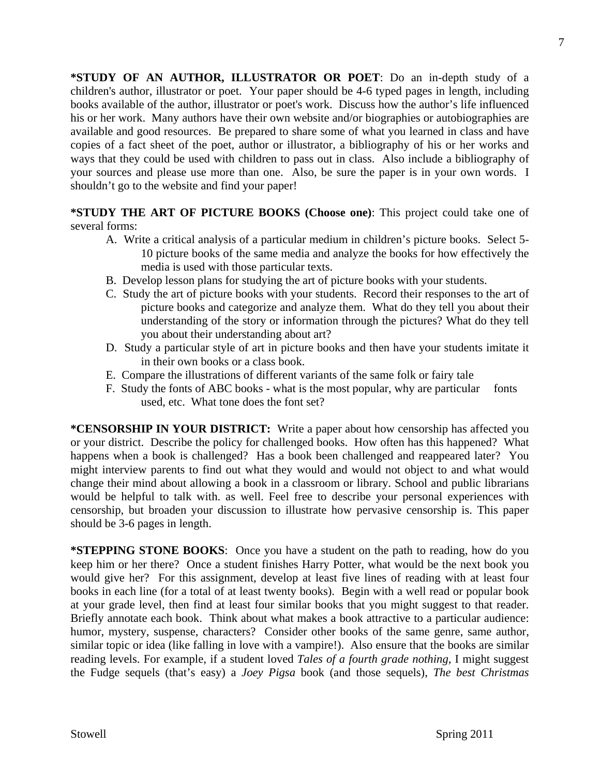**\*STUDY OF AN AUTHOR, ILLUSTRATOR OR POET**: Do an in-depth study of a children's author, illustrator or poet. Your paper should be 4-6 typed pages in length, including books available of the author, illustrator or poet's work. Discuss how the author's life influenced his or her work. Many authors have their own website and/or biographies or autobiographies are available and good resources. Be prepared to share some of what you learned in class and have copies of a fact sheet of the poet, author or illustrator, a bibliography of his or her works and ways that they could be used with children to pass out in class. Also include a bibliography of your sources and please use more than one. Also, be sure the paper is in your own words. I shouldn't go to the website and find your paper!

**\*STUDY THE ART OF PICTURE BOOKS (Choose one)**: This project could take one of several forms:

- A. Write a critical analysis of a particular medium in children's picture books. Select 5- 10 picture books of the same media and analyze the books for how effectively the media is used with those particular texts.
- B. Develop lesson plans for studying the art of picture books with your students.
- you about their understanding about art? C. Study the art of picture books with your students. Record their responses to the art of picture books and categorize and analyze them. What do they tell you about their understanding of the story or information through the pictures? What do they tell
- D. Study a particular style of art in picture books and then have your students imitate it in their own books or a class book.
- E. Compare the illustrations of different variants of the same folk or fairy tale
- F. Study the fonts of ABC books what is the most popular, why are particular fonts used, etc. What tone does the font set?

**\*CENSORSHIP IN YOUR DISTRICT:** Write a paper about how censorship has affected you or your district. Describe the policy for challenged books. How often has this happened? What happens when a book is challenged? Has a book been challenged and reappeared later? You might interview parents to find out what they would and would not object to and what would change their mind about allowing a book in a classroom or library. School and public librarians would be helpful to talk with. as well. Feel free to describe your personal experiences with censorship, but broaden your discussion to illustrate how pervasive censorship is. This paper should be 3-6 pages in length.

**\*STEPPING STONE BOOKS**: Once you have a student on the path to reading, how do you keep him or her there? Once a student finishes Harry Potter, what would be the next book you would give her? For this assignment, develop at least five lines of reading with at least four books in each line (for a total of at least twenty books). Begin with a well read or popular book at your grade level, then find at least four similar books that you might suggest to that reader. Briefly annotate each book. Think about what makes a book attractive to a particular audience: humor, mystery, suspense, characters? Consider other books of the same genre, same author, similar topic or idea (like falling in love with a vampire!). Also ensure that the books are similar reading levels. For example, if a student loved *Tales of a fourth grade nothing*, I might suggest the Fudge sequels (that's easy) a *Joey Pigsa* book (and those sequels), *The best Christmas*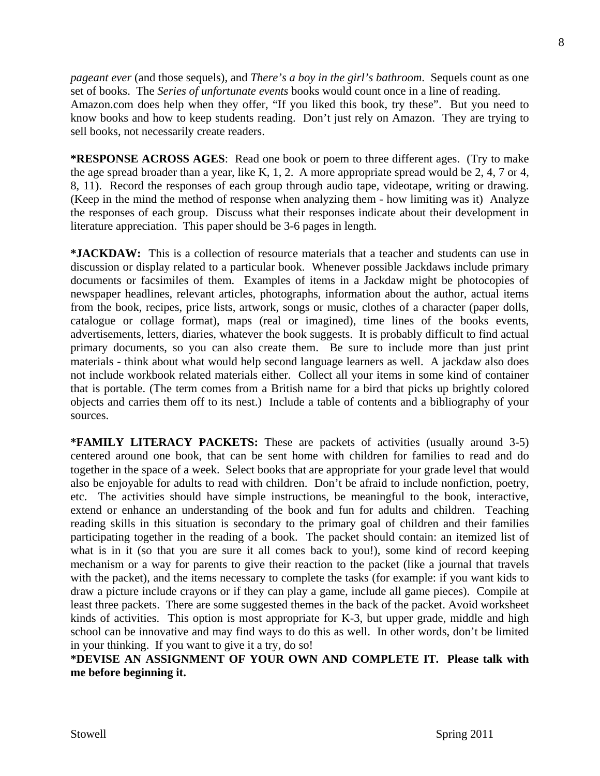8

*pageant ever* (and those sequels), and *There's a boy in the girl's bathroom*. Sequels count as one set of books. The *Series of unfortunate events* books would count once in a line of reading. Amazon.com does help when they offer, "If you liked this book, try these". But you need to know books and how to keep students reading. Don't just rely on Amazon. They are trying to sell books, not necessarily create readers.

**\*RESPONSE ACROSS AGES**: Read one book or poem to three different ages. (Try to make the age spread broader than a year, like K, 1, 2. A more appropriate spread would be 2, 4, 7 or 4, 8, 11). Record the responses of each group through audio tape, videotape, writing or drawing. (Keep in the mind the method of response when analyzing them - how limiting was it) Analyze the responses of each group. Discuss what their responses indicate about their development in literature appreciation. This paper should be 3-6 pages in length.

**\*JACKDAW:** This is a collection of resource materials that a teacher and students can use in discussion or display related to a particular book. Whenever possible Jackdaws include primary documents or facsimiles of them. Examples of items in a Jackdaw might be photocopies of newspaper headlines, relevant articles, photographs, information about the author, actual items from the book, recipes, price lists, artwork, songs or music, clothes of a character (paper dolls, catalogue or collage format), maps (real or imagined), time lines of the books events, advertisements, letters, diaries, whatever the book suggests. It is probably difficult to find actual primary documents, so you can also create them. Be sure to include more than just print materials - think about what would help second language learners as well. A jackdaw also does not include workbook related materials either. Collect all your items in some kind of container that is portable. (The term comes from a British name for a bird that picks up brightly colored objects and carries them off to its nest.) Include a table of contents and a bibliography of your sources.

**\*FAMILY LITERACY PACKETS:** These are packets of activities (usually around 3-5) centered around one book, that can be sent home with children for families to read and do together in the space of a week. Select books that are appropriate for your grade level that would also be enjoyable for adults to read with children. Don't be afraid to include nonfiction, poetry, etc. The activities should have simple instructions, be meaningful to the book, interactive, extend or enhance an understanding of the book and fun for adults and children. Teaching reading skills in this situation is secondary to the primary goal of children and their families participating together in the reading of a book. The packet should contain: an itemized list of what is in it (so that you are sure it all comes back to you!), some kind of record keeping mechanism or a way for parents to give their reaction to the packet (like a journal that travels with the packet), and the items necessary to complete the tasks (for example: if you want kids to draw a picture include crayons or if they can play a game, include all game pieces). Compile at least three packets. There are some suggested themes in the back of the packet. Avoid worksheet kinds of activities. This option is most appropriate for K-3, but upper grade, middle and high school can be innovative and may find ways to do this as well. In other words, don't be limited in your thinking. If you want to give it a try, do so!

**\*DEVISE AN ASSIGNMENT OF YOUR OWN AND COMPLETE IT. Please talk with me before beginning it.**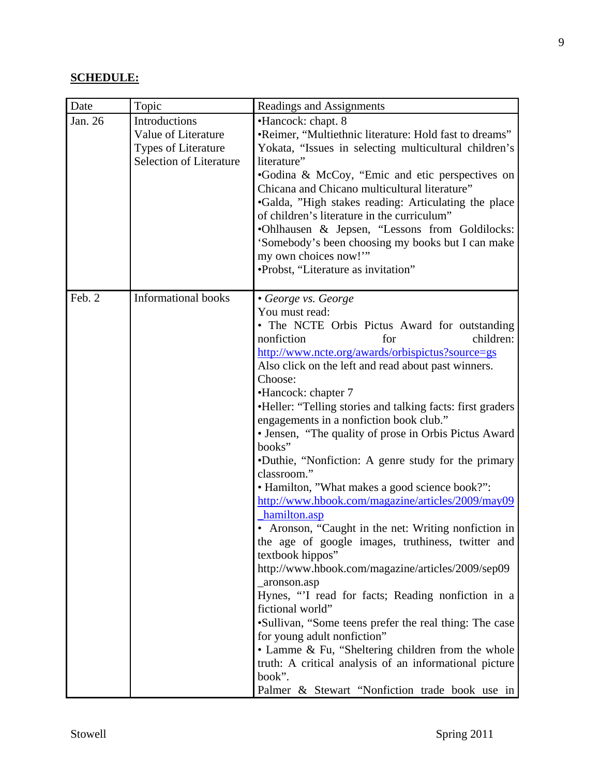# **SCHEDULE:**

| Date    | Topic                                                                                         | Readings and Assignments                                                                                                                                                                                                                                                                                                                                                                                                                                                                                                                                                                                                                                                                                                                                                                                                                                                                                                                                                                                                                                                                                                                                                                          |  |  |
|---------|-----------------------------------------------------------------------------------------------|---------------------------------------------------------------------------------------------------------------------------------------------------------------------------------------------------------------------------------------------------------------------------------------------------------------------------------------------------------------------------------------------------------------------------------------------------------------------------------------------------------------------------------------------------------------------------------------------------------------------------------------------------------------------------------------------------------------------------------------------------------------------------------------------------------------------------------------------------------------------------------------------------------------------------------------------------------------------------------------------------------------------------------------------------------------------------------------------------------------------------------------------------------------------------------------------------|--|--|
| Jan. 26 | Introductions<br>Value of Literature<br>Types of Literature<br><b>Selection of Literature</b> | •Hancock: chapt. 8<br>•Reimer, "Multiethnic literature: Hold fast to dreams"<br>Yokata, "Issues in selecting multicultural children's<br>literature"<br>•Godina & McCoy, "Emic and etic perspectives on<br>Chicana and Chicano multicultural literature"<br>•Galda, "High stakes reading: Articulating the place<br>of children's literature in the curriculum"<br>•Ohlhausen & Jepsen, "Lessons from Goldilocks:<br>'Somebody's been choosing my books but I can make<br>my own choices now!"<br>•Probst, "Literature as invitation"                                                                                                                                                                                                                                                                                                                                                                                                                                                                                                                                                                                                                                                             |  |  |
| Feb. 2  | <b>Informational</b> books                                                                    | • George vs. George<br>You must read:<br>• The NCTE Orbis Pictus Award for outstanding<br>children:<br>nonfiction<br>for<br>http://www.ncte.org/awards/orbispictus?source=gs<br>Also click on the left and read about past winners.<br>Choose:<br>•Hancock: chapter 7<br>•Heller: "Telling stories and talking facts: first graders<br>engagements in a nonfiction book club."<br>• Jensen, "The quality of prose in Orbis Pictus Award<br>books"<br>•Duthie, "Nonfiction: A genre study for the primary<br>classroom."<br>• Hamilton, "What makes a good science book?":<br>http://www.hbook.com/magazine/articles/2009/may09<br>hamilton.asp<br>• Aronson, "Caught in the net: Writing nonfiction in<br>the age of google images, truthiness, twitter and<br>textbook hippos"<br>http://www.hbook.com/magazine/articles/2009/sep09<br>_aronson.asp<br>Hynes, "I read for facts; Reading nonfiction in a<br>fictional world"<br>•Sullivan, "Some teens prefer the real thing: The case<br>for young adult nonfiction"<br>• Lamme & Fu, "Sheltering children from the whole<br>truth: A critical analysis of an informational picture<br>book".<br>Palmer & Stewart "Nonfiction trade book use in |  |  |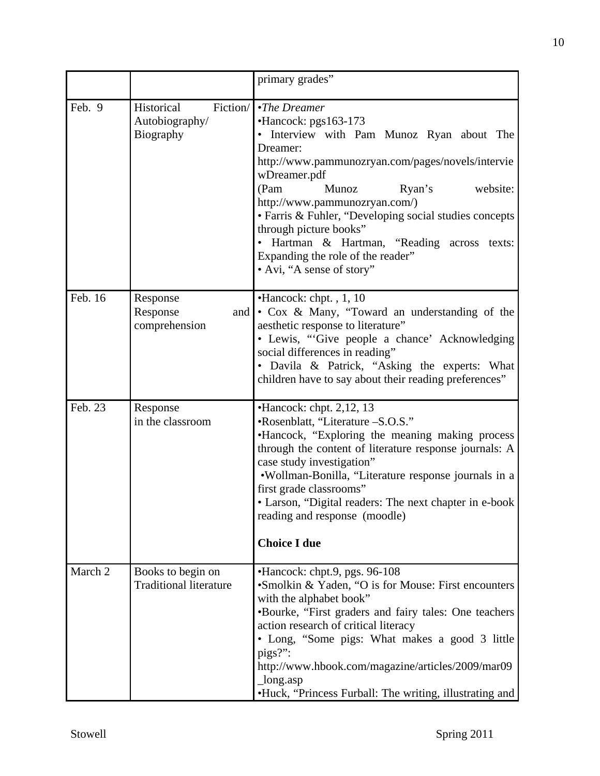|         |                                                       | primary grades"                                                                                                                                                                                                                                                                                                                                                                                                                                        |  |  |  |
|---------|-------------------------------------------------------|--------------------------------------------------------------------------------------------------------------------------------------------------------------------------------------------------------------------------------------------------------------------------------------------------------------------------------------------------------------------------------------------------------------------------------------------------------|--|--|--|
| Feb. 9  | Fiction/<br>Historical<br>Autobiography/<br>Biography | $\cdot$ The Dreamer<br>•Hancock: pgs163-173<br>• Interview with Pam Munoz Ryan about The<br>Dreamer:<br>http://www.pammunozryan.com/pages/novels/intervie<br>wDreamer.pdf<br>(Pam<br>Ryan's<br>website:<br>Munoz<br>http://www.pammunozryan.com/)<br>• Farris & Fuhler, "Developing social studies concepts<br>through picture books"<br>• Hartman & Hartman, "Reading across texts:<br>Expanding the role of the reader"<br>• Avi, "A sense of story" |  |  |  |
| Feb. 16 | Response<br>Response<br>and  <br>comprehension        | $\bullet$ Hancock: chpt., 1, 10<br>• Cox & Many, "Toward an understanding of the<br>aesthetic response to literature"<br>• Lewis, "Give people a chance' Acknowledging<br>social differences in reading"<br>• Davila & Patrick, "Asking the experts: What<br>children have to say about their reading preferences"                                                                                                                                     |  |  |  |
| Feb. 23 | Response<br>in the classroom                          | •Hancock: chpt. 2,12, 13<br>•Rosenblatt, "Literature -S.O.S."<br>•Hancock, "Exploring the meaning making process<br>through the content of literature response journals: A<br>case study investigation"<br>•Wollman-Bonilla, "Literature response journals in a<br>first grade classrooms"<br>• Larson, "Digital readers: The next chapter in e-book<br>reading and response (moodle)<br><b>Choice I due</b>                                           |  |  |  |
| March 2 | Books to begin on<br><b>Traditional literature</b>    | •Hancock: chpt.9, pgs. 96-108<br>•Smolkin & Yaden, "O is for Mouse: First encounters<br>with the alphabet book"<br>•Bourke, "First graders and fairy tales: One teachers<br>action research of critical literacy<br>• Long, "Some pigs: What makes a good 3 little<br>pigs?":<br>http://www.hbook.com/magazine/articles/2009/mar09<br>_long.asp<br>•Huck, "Princess Furball: The writing, illustrating and                                             |  |  |  |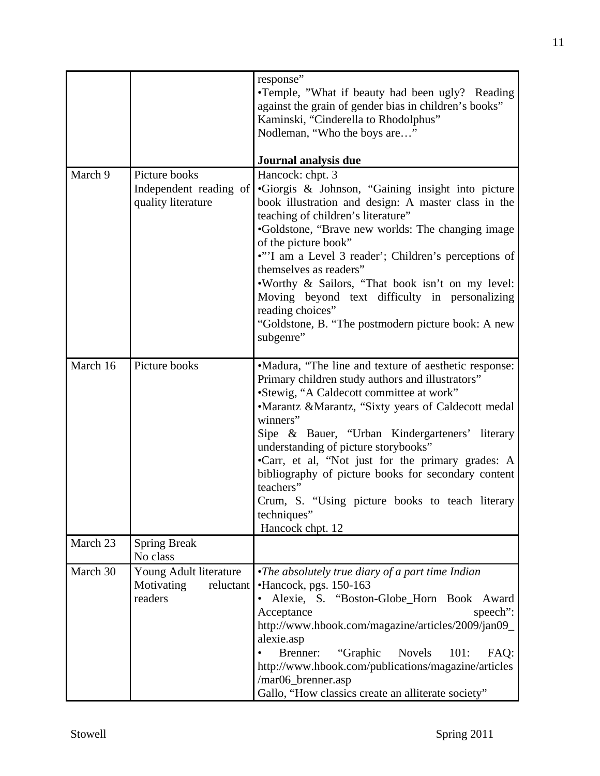|          |                                    | response"                                                                                     |  |  |
|----------|------------------------------------|-----------------------------------------------------------------------------------------------|--|--|
|          |                                    | •Temple, "What if beauty had been ugly? Reading                                               |  |  |
|          |                                    | against the grain of gender bias in children's books"<br>Kaminski, "Cinderella to Rhodolphus" |  |  |
|          |                                    | Nodleman, "Who the boys are"                                                                  |  |  |
|          |                                    |                                                                                               |  |  |
|          |                                    | Journal analysis due                                                                          |  |  |
| March 9  | Picture books                      | Hancock: chpt. 3                                                                              |  |  |
|          | Independent reading of             | •Giorgis & Johnson, "Gaining insight into picture                                             |  |  |
|          | quality literature                 | book illustration and design: A master class in the<br>teaching of children's literature"     |  |  |
|          |                                    | •Goldstone, "Brave new worlds: The changing image                                             |  |  |
|          |                                    | of the picture book"                                                                          |  |  |
|          |                                    | ""I am a Level 3 reader'; Children's perceptions of                                           |  |  |
|          |                                    | themselves as readers"                                                                        |  |  |
|          |                                    | .Worthy & Sailors, "That book isn't on my level:                                              |  |  |
|          |                                    | Moving beyond text difficulty in personalizing                                                |  |  |
|          |                                    | reading choices"                                                                              |  |  |
|          |                                    | "Goldstone, B. "The postmodern picture book: A new<br>subgenre"                               |  |  |
|          |                                    |                                                                                               |  |  |
| March 16 | Picture books                      | •Madura, "The line and texture of aesthetic response:                                         |  |  |
|          |                                    | Primary children study authors and illustrators"                                              |  |  |
|          |                                    | •Stewig, "A Caldecott committee at work"                                                      |  |  |
|          |                                    | •Marantz &Marantz, "Sixty years of Caldecott medal                                            |  |  |
|          |                                    | winners"                                                                                      |  |  |
|          |                                    | Sipe & Bauer, "Urban Kindergarteners' literary<br>understanding of picture storybooks"        |  |  |
|          |                                    | •Carr, et al, "Not just for the primary grades: A                                             |  |  |
|          |                                    | bibliography of picture books for secondary content                                           |  |  |
|          |                                    | teachers"                                                                                     |  |  |
|          |                                    | Crum, S. "Using picture books to teach literary                                               |  |  |
|          |                                    | techniques"                                                                                   |  |  |
| March 23 | <b>Spring Break</b>                | Hancock chpt. 12                                                                              |  |  |
|          | No class                           |                                                                                               |  |  |
| March 30 | Young Adult literature             | •The absolutely true diary of a part time Indian                                              |  |  |
|          | Motivating<br>reluctant<br>readers | •Hancock, pgs. 150-163                                                                        |  |  |
|          |                                    | Alexie, S. "Boston-Globe_Horn Book<br>Award                                                   |  |  |
|          |                                    | Acceptance<br>speech":                                                                        |  |  |
|          |                                    | http://www.hbook.com/magazine/articles/2009/jan09_<br>alexie.asp                              |  |  |
|          |                                    | <b>Novels</b><br>Brenner:<br>"Graphic"<br>101:<br>FAQ:                                        |  |  |
|          |                                    | http://www.hbook.com/publications/magazine/articles                                           |  |  |
|          |                                    | /mar06_brenner.asp                                                                            |  |  |
|          |                                    | Gallo, "How classics create an alliterate society"                                            |  |  |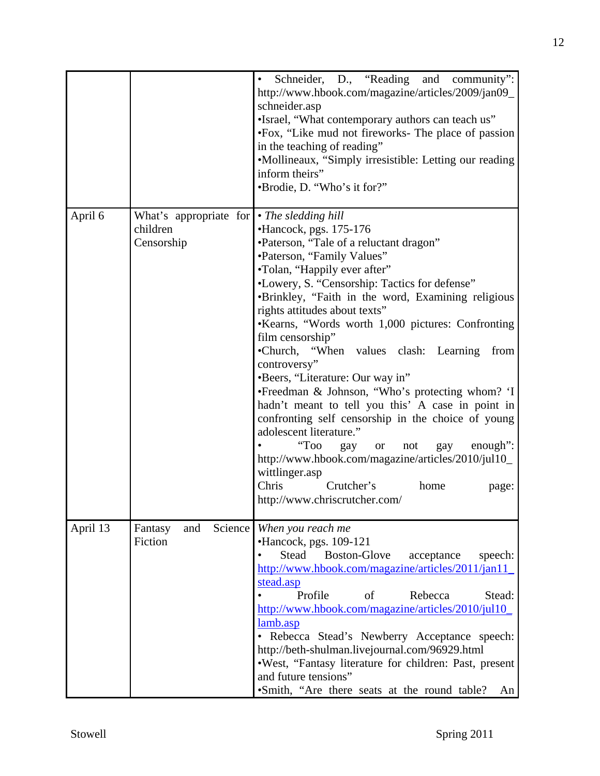|          |                                                  | Schneider, D., "Reading and community":<br>$\bullet$<br>http://www.hbook.com/magazine/articles/2009/jan09_<br>schneider.asp<br>"Israel, "What contemporary authors can teach us"<br>•Fox, "Like mud not fireworks- The place of passion<br>in the teaching of reading"<br>•Mollineaux, "Simply irresistible: Letting our reading<br>inform theirs"<br>•Brodie, D. "Who's it for?"                                                                                                                                                                                                                                                                                                                                                                                                                                                                                            |  |  |
|----------|--------------------------------------------------|------------------------------------------------------------------------------------------------------------------------------------------------------------------------------------------------------------------------------------------------------------------------------------------------------------------------------------------------------------------------------------------------------------------------------------------------------------------------------------------------------------------------------------------------------------------------------------------------------------------------------------------------------------------------------------------------------------------------------------------------------------------------------------------------------------------------------------------------------------------------------|--|--|
| April 6  | What's appropriate for<br>children<br>Censorship | • The sledding hill<br>•Hancock, pgs. 175-176<br>•Paterson, "Tale of a reluctant dragon"<br>•Paterson, "Family Values"<br>•Tolan, "Happily ever after"<br>•Lowery, S. "Censorship: Tactics for defense"<br>•Brinkley, "Faith in the word, Examining religious<br>rights attitudes about texts"<br>•Kearns, "Words worth 1,000 pictures: Confronting<br>film censorship"<br>•Church, "When values clash: Learning<br>from<br>controversy"<br>•Beers, "Literature: Our way in"<br>•Freedman & Johnson, "Who's protecting whom? 'I<br>hadn't meant to tell you this' A case in point in<br>confronting self censorship in the choice of young<br>adolescent literature."<br>"Too<br>enough":<br>gay<br>not<br><b>or</b><br>gay<br>http://www.hbook.com/magazine/articles/2010/jul10_<br>wittlinger.asp<br>Chris<br>Crutcher's<br>home<br>page:<br>http://www.chriscrutcher.com/ |  |  |
| April 13 | Science<br>Fantasy<br>and<br>Fiction             | When you reach me<br>•Hancock, pgs. 109-121<br><b>Boston-Glove</b><br>Stead<br>speech:<br>acceptance<br>http://www.hbook.com/magazine/articles/2011/jan11<br>stead.asp<br>Profile<br>of<br>Rebecca<br>Stead:<br>http://www.hbook.com/magazine/articles/2010/jul10<br>lamb.asp<br>• Rebecca Stead's Newberry Acceptance speech:<br>http://beth-shulman.livejournal.com/96929.html<br>.West, "Fantasy literature for children: Past, present<br>and future tensions"<br>·Smith, "Are there seats at the round table?<br>An                                                                                                                                                                                                                                                                                                                                                     |  |  |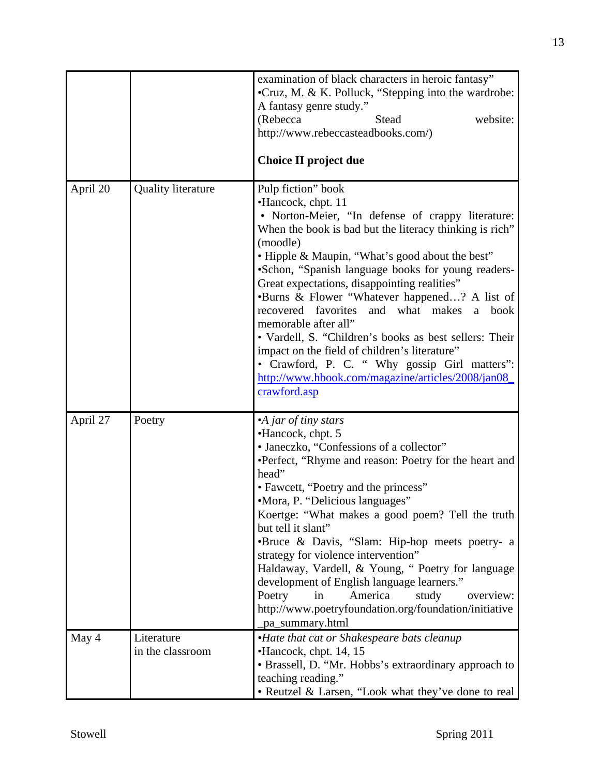|          |                                | examination of black characters in heroic fantasy"<br>•Cruz, M. & K. Polluck, "Stepping into the wardrobe:<br>A fantasy genre study."<br>website:<br>(Rebecca<br>Stead<br>http://www.rebeccasteadbooks.com/)<br>Choice II project due                                                                                                                                                                                                                                                                                                                                                                                                                                                      |  |
|----------|--------------------------------|--------------------------------------------------------------------------------------------------------------------------------------------------------------------------------------------------------------------------------------------------------------------------------------------------------------------------------------------------------------------------------------------------------------------------------------------------------------------------------------------------------------------------------------------------------------------------------------------------------------------------------------------------------------------------------------------|--|
| April 20 | <b>Quality literature</b>      | Pulp fiction" book<br>•Hancock, chpt. 11<br>• Norton-Meier, "In defense of crappy literature:<br>When the book is bad but the literacy thinking is rich"<br>(moodle)<br>• Hipple & Maupin, "What's good about the best"<br>•Schon, "Spanish language books for young readers-<br>Great expectations, disappointing realities"<br>•Burns & Flower "Whatever happened? A list of<br>and what makes a<br>recovered favorites<br>book<br>memorable after all"<br>• Vardell, S. "Children's books as best sellers: Their<br>impact on the field of children's literature"<br>• Crawford, P. C. " Why gossip Girl matters":<br>http://www.hbook.com/magazine/articles/2008/jan08<br>crawford.asp |  |
| April 27 | Poetry                         | •A jar of tiny stars<br>•Hancock, chpt. 5<br>• Janeczko, "Confessions of a collector"<br>•Perfect, "Rhyme and reason: Poetry for the heart and<br>head"<br>• Fawcett, "Poetry and the princess"<br>•Mora, P. "Delicious languages"<br>Koertge: "What makes a good poem? Tell the truth<br>but tell it slant"<br>•Bruce & Davis, "Slam: Hip-hop meets poetry- a<br>strategy for violence intervention"<br>Haldaway, Vardell, & Young, " Poetry for language<br>development of English language learners."<br>Poetry<br>America<br>study<br>in<br>overview:<br>http://www.poetryfoundation.org/foundation/initiative<br>pa_summary.html                                                      |  |
| May 4    | Literature<br>in the classroom | •Hate that cat or Shakespeare bats cleanup<br>$\bullet$ Hancock, chpt. 14, 15<br>• Brassell, D. "Mr. Hobbs's extraordinary approach to<br>teaching reading."<br>• Reutzel & Larsen, "Look what they've done to real                                                                                                                                                                                                                                                                                                                                                                                                                                                                        |  |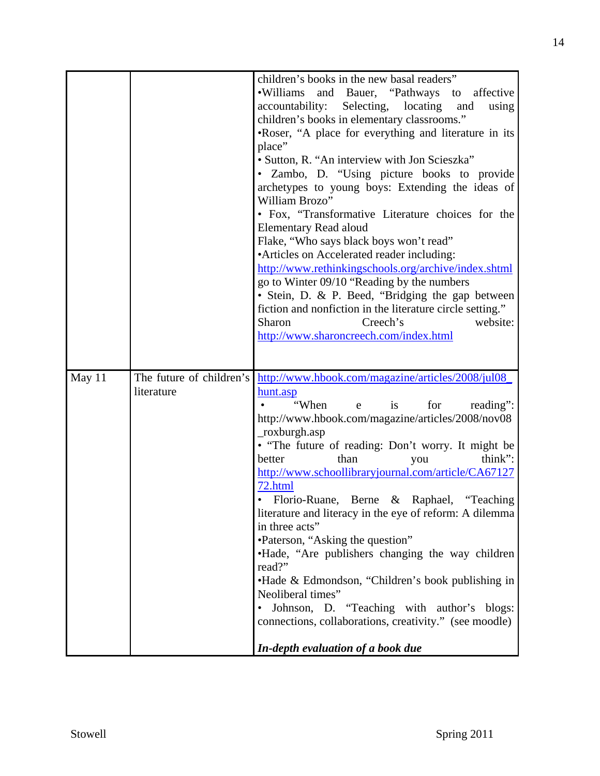|        |                                        | children's books in the new basal readers"<br>•Williams<br>and Bauer, "Pathways to affective<br>Selecting,<br>accountability:<br>locating and<br>using<br>children's books in elementary classrooms."<br>.Roser, "A place for everything and literature in its<br>place"<br>• Sutton, R. "An interview with Jon Scieszka"<br>• Zambo, D. "Using picture books to provide<br>archetypes to young boys: Extending the ideas of<br>William Brozo"<br>• Fox, "Transformative Literature choices for the<br><b>Elementary Read aloud</b><br>Flake, "Who says black boys won't read"<br>• Articles on Accelerated reader including:<br>http://www.rethinkingschools.org/archive/index.shtml<br>go to Winter 09/10 "Reading by the numbers                                                            |
|--------|----------------------------------------|------------------------------------------------------------------------------------------------------------------------------------------------------------------------------------------------------------------------------------------------------------------------------------------------------------------------------------------------------------------------------------------------------------------------------------------------------------------------------------------------------------------------------------------------------------------------------------------------------------------------------------------------------------------------------------------------------------------------------------------------------------------------------------------------|
|        |                                        | • Stein, D. & P. Beed, "Bridging the gap between<br>fiction and nonfiction in the literature circle setting."<br>Creech's<br>website:<br>Sharon<br>http://www.sharoncreech.com/index.html                                                                                                                                                                                                                                                                                                                                                                                                                                                                                                                                                                                                      |
| May 11 | The future of children's<br>literature | http://www.hbook.com/magazine/articles/2008/jul08<br>hunt.asp<br>"When<br>is<br>for<br>reading":<br>e<br>http://www.hbook.com/magazine/articles/2008/nov08<br>$_$ roxburgh.asp<br>• "The future of reading: Don't worry. It might be<br>think":<br>better<br>than<br>you<br>http://www.schoollibraryjournal.com/article/CA67127<br>72.html<br>• Florio-Ruane, Berne & Raphael, "Teaching<br>literature and literacy in the eye of reform: A dilemma<br>in three acts"<br>•Paterson, "Asking the question"<br>•Hade, "Are publishers changing the way children<br>read?"<br>•Hade & Edmondson, "Children's book publishing in<br>Neoliberal times"<br>Johnson, D. "Teaching with author's blogs:<br>connections, collaborations, creativity." (see moodle)<br>In-depth evaluation of a book due |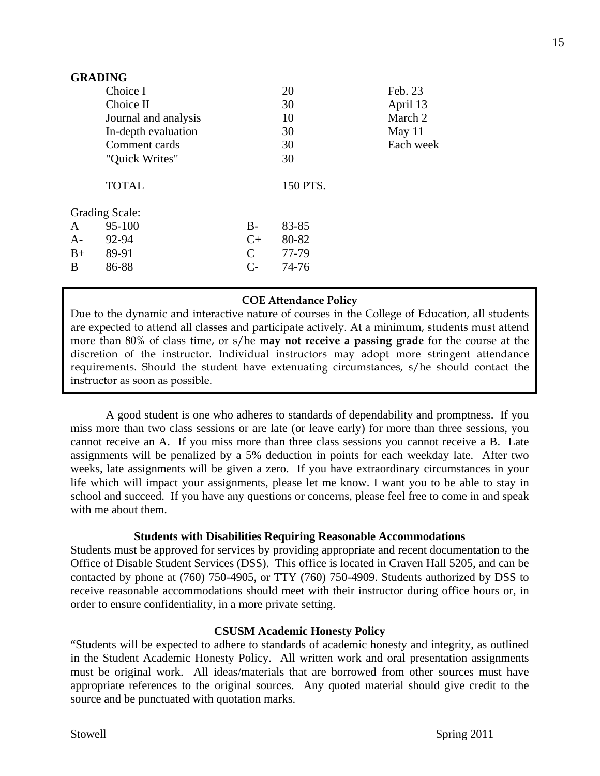| <b>GRADING</b>        |                      |                             |          |           |
|-----------------------|----------------------|-----------------------------|----------|-----------|
|                       | Choice I             |                             | 20       | Feb. 23   |
|                       | Choice II            |                             | 30       | April 13  |
|                       | Journal and analysis |                             | 10       | March 2   |
|                       | In-depth evaluation  |                             | 30       | May $11$  |
|                       | Comment cards        |                             | 30       | Each week |
|                       | "Quick Writes"       |                             | 30       |           |
|                       | <b>TOTAL</b>         |                             | 150 PTS. |           |
| <b>Grading Scale:</b> |                      |                             |          |           |
| A                     | 95-100               | $B-$                        | 83-85    |           |
| $A -$                 | 92-94                | $C+$                        | 80-82    |           |
| $B+$                  | 89-91                | $\mathcal{C}_{\mathcal{C}}$ | 77-79    |           |
| B                     | 86-88                | C-                          | 74-76    |           |
|                       |                      |                             |          |           |

### **COE Attendance Policy**

Due to the dynamic and interactive nature of courses in the College of Education, all students are expected to attend all classes and participate actively. At a minimum, students must attend more than 80% of class time, or s/he **may not receive a passing grade** for the course at the discretion of the instructor. Individual instructors may adopt more stringent attendance requirements. Should the student have extenuating circumstances, s/he should contact the instructor as soon as possible.

A good student is one who adheres to standards of dependability and promptness. If you miss more than two class sessions or are late (or leave early) for more than three sessions, you cannot receive an A. If you miss more than three class sessions you cannot receive a B. Late assignments will be penalized by a 5% deduction in points for each weekday late. After two weeks, late assignments will be given a zero. If you have extraordinary circumstances in your life which will impact your assignments, please let me know. I want you to be able to stay in school and succeed. If you have any questions or concerns, please feel free to come in and speak with me about them.

#### **Students with Disabilities Requiring Reasonable Accommodations**

Students must be approved for services by providing appropriate and recent documentation to the Office of Disable Student Services (DSS). This office is located in Craven Hall 5205, and can be contacted by phone at (760) 750-4905, or TTY (760) 750-4909. Students authorized by DSS to receive reasonable accommodations should meet with their instructor during office hours or, in order to ensure confidentiality, in a more private setting.

#### **CSUSM Academic Honesty Policy**

"Students will be expected to adhere to standards of academic honesty and integrity, as outlined in the Student Academic Honesty Policy. All written work and oral presentation assignments must be original work. All ideas/materials that are borrowed from other sources must have appropriate references to the original sources. Any quoted material should give credit to the source and be punctuated with quotation marks.